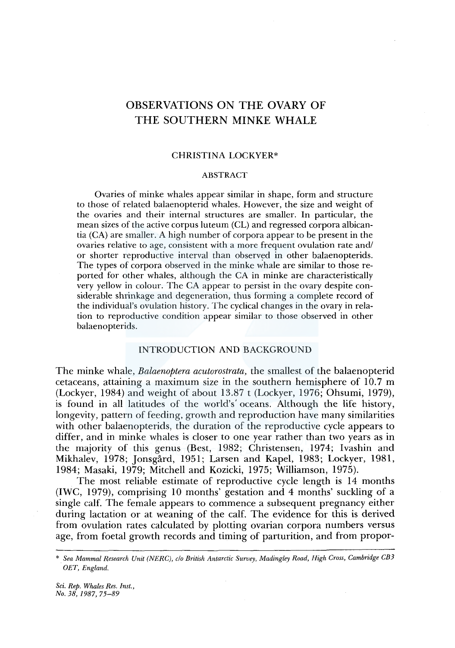# OBSERVATIONS ON THE OVARY OF THE SOUTHERN MINKE WHALE

## CHRISTINA LOCKYER\*

## ABSTRACT

Ovaries of minke whales appear similar in shape, form and structure to those of related balaenopterid whales. However, the size and weight of the ovaries and their internal structures are smaller. In particular, the mean sizes of the active corpus luteum (CL) and regressed corpora albicantia (CA) are smaller. A high number of corpora appear to be present in the ovaries relative to age, consistent with a more frequent ovulation rate and/ or shorter reproductive interval than observed in other balaenopterids. The types of corpora observed in the minke whale are similar to those reported for other whales, although the CA in minke are characteristically very yellow in colour. The CA appear to persist in the ovary despite considerable shrinkage and degeneration, thus forming a complete record of the individual's ovulation history. The cyclical changes in the ovary in relation to reproductive condition appear similar to those observed in other balaenopterids.

## INTRODUCTION AND BACKGROUND

The minke whale, *Balaenoptera acutorostrata,* the smallest of the balaenopterid cetaceans, attaining a maximum size in the southern hemisphere of  $10.7 \text{ m}$ (Lockyer, 1984) and weight of about 13.87 t (Lockyer, 1976; Ohsumi, 1979), is found in all latitudes of the world's' oceans. Although the life history, longevity, pattern of feeding, growth and reproduction have many similarities with other balaenopterids, the duration of the reproductive cycle appears to differ, and in minke whales is closer to one year rather than two years as in the majority of this genus (Best, 1982; Christensen, 1974; lvashin and Mikhalev, 1978; Jonsgard, 1951; Larsen and Kapel, 1983; Lockyer, 1981, 1984; Masaki, 1979; Mitchell and Kozicki, 1975; Williamson, 1975).

The most reliable estimate of reproductive cycle length is 14 months (IWC, 1979), comprising 10 months' gestation and 4 months' suckling of a single calf. The female appears to commence a subsequent pregnancy either during lactation or at weaning of the calf. The evidence for this is derived from ovulation rates calculated by plotting ovarian corpora numbers versus age, from foetal growth records and timing of parturition, and from propor-

<sup>\*</sup> *Sea Mammal Research Unit (NERC), c/o British Antarctic Survey, Madingley Road, High Cross, Cambridge CBJ OET, England.*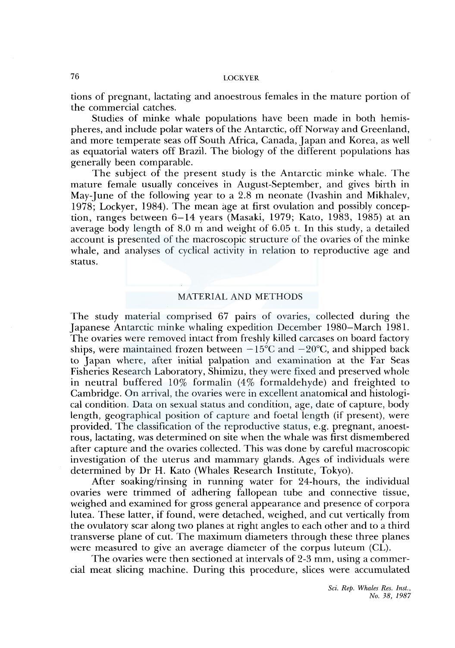tions of pregnant, lactating and anoestrous females in the mature portion of the commercial catches.

Studies of minke whale populations have been made in both hemispheres, and include polar waters of the Antarctic, off Norway and Greenland, and more temperate seas off South Africa, Canada, Japan and Korea, as well as equatorial waters off Brazil. The biology of the different populations has generally been comparable.

The subject of the present study is the Antarctic minke whale. The mature female usually conceives in August-September, and gives birth in May-June of the following year to a 2.8 m neonate (Ivashin and Mikhalev, 1978; Lockyer, 1984). The mean age at first ovulation and possibly conception, ranges between 6-14 years (Masaki, 1979; Kato, 1983, 1985) at an average body length of 8.0 m and weight of 6.05 t. In this study, a detailed account is presented of the macroscopic structure of the ovaries of the minke whale, and analyses of cyclical activity in relation to reproductive age and status.

## MATERIAL AND METHODS

The study material comprised 67 pairs of ovaries, collected during the Japanese Antarctic minke whaling expedition December 1980-March 1981. The ovaries were removed intact from freshly killed carcases on board factory ships, were maintained frozen between  $-15^{\circ}$ C and  $-20^{\circ}$ C, and shipped back to Japan where, after initial palpation and examination at the Far Seas Fisheries Research Laboratory, Shimizu, they were fixed and preserved whole in neutral buffered 10% formalin (4% formaldehyde) and freighted to Cambridge. On arrival, the ovaries were in excellent anatomical and histological condition. Data on sexual status and condition, age, date of capture, body length, geographical position of capture and foetal length (if present), were provided. The classification of the reproductive status, e.g. pregnant, anoestrous, lactating, was determined on site when the whale was first dismembered after capture and the ovaries collected. This was done by careful macroscopic investigation of the uterus and mammary glands. Ages of individuals were determined by Dr H. Kato (Whales Research Institute, Tokyo).

After soaking/rinsing in running water for 24-hours, the individual ovaries were trimmed of adhering fallopean tube and connective tissue, weighed and examined for gross general appearance and presence of corpora lutea. These latter, if found, were detached, weighed, and cut vertically from the ovulatory scar along two planes at right angles to each other and to a third transverse plane of cut. The maximum diameters through these three planes were measured to give an average diameter of the corpus luteum (CL).

The ovaries were then sectioned at intervals of 2-3 mm, using a commercial meat slicing machine. During this procedure, slices were accumulated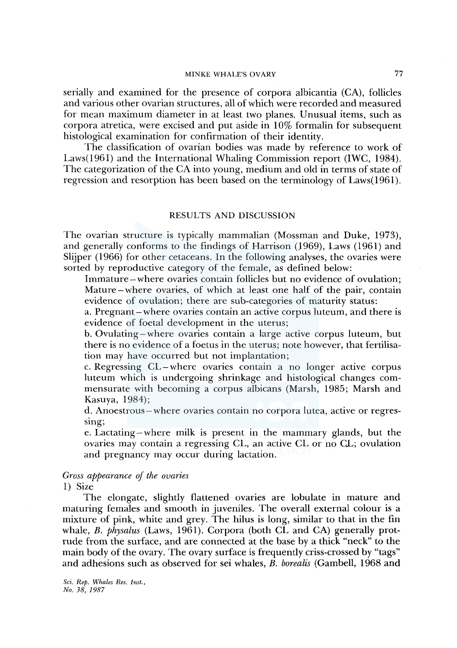serially and examined for the presence of corpora albicantia (CA), follicles and various other ovarian structures, all of which were recorded and measured for mean maximum diameter in at least two planes. Unusual items, such as corpora atretica, were excised and put aside in 10% formalin for subsequent histological examination for confirmation of their identity.

The classification of ovarian bodies was made by reference to work of Laws(l961) and the International Whaling Commission report (IWC, 1984). The categorization of the CA into young, medium and old in terms of state of regression and resorption has been based on the terminology of Laws( 1961).

#### RESULTS AND DISCUSSION

The ovarian structure is typically mammalian (Mossman and Duke, 1973), and generally conforms to the findings of Harrison (1969), Laws (1961) and Slijper (1966) for other cetaceans. In the following analyses, the ovaries were sorted by reproductive category of the female, as defined below:

Immature-where ovaries contain follicles but no evidence of ovulation; Mature-where ovaries, of which at least one half of the pair, contain evidence of ovulation; there are sub-categories of maturity status:

a. Pregnant-where ovaries contain an active corpus luteum, and there is evidence of foetal development in the uterus;

b. Ovulating-where ovaries contain a large active corpus luteum, but there is no evidence of a foetus in the uterus; note however, that fertilisation may have occurred but not implantation;

c. Regressing CL-where ovaries contain a no longer active corpus luteum which is undergoing shrinkage and histological changes commensurate with becoming a corpus albicans (Marsh, 1985; Marsh and Kasuya, 1984);

d. Anoestrous -where ovaries contain no corpora lutea, active or regressing;

e. Lactating-where milk is present in the mammary glands, but the ovaries may contain a regressing CL, an active CL or no CL; ovulation and pregnancy may occur during lactation.

### *Gross appearance of the ovaries*

1) Size

The elongate, slightly flattened ovaries are lobulate in mature and maturing females and smooth in juveniles. The overall external colour is a mixture of pink, white and grey. The hilus is long, similar to that in the fin whale, *B. physalus* (Laws, 1961). Corpora (both CL and CA) generally protrude from the surface, and are connected at the base by a thick "neck" to the main body of the ovary. The ovary surface is frequently criss-crossed by "tags" and adhesions such as observed for sei whales, *B. borealis* (Gambell, 1968 and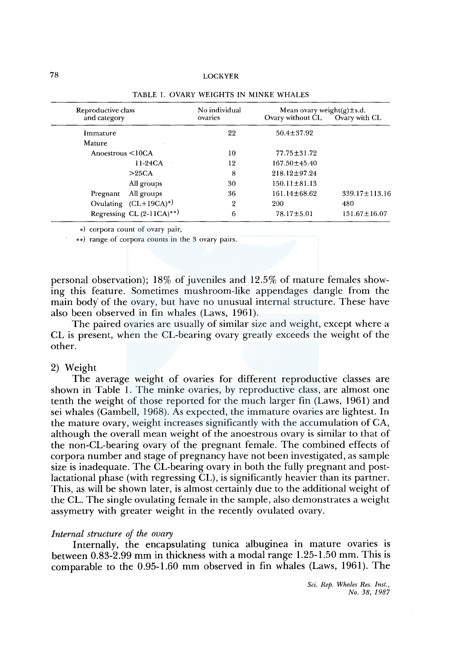| Reproductive class<br>and category | No individual<br>ovaries | Mean ovary weight(g) $\pm$ s.d.<br>Ovary without CL | Ovary with CL       |  |
|------------------------------------|--------------------------|-----------------------------------------------------|---------------------|--|
|                                    |                          |                                                     |                     |  |
| Immature                           | 22                       | $50.4 \pm 37.92$                                    |                     |  |
| Mature                             |                          |                                                     |                     |  |
| Anoestrous $\leq 10CA$             | 10                       | $77.75 \pm 31.72$                                   |                     |  |
| 11-24CA                            | 12                       | $167.50 + 45.40$                                    |                     |  |
| >25CA                              | 8                        | $218.12 \pm 97.24$                                  |                     |  |
| All groups                         | 30                       | $150.11 \pm 81.13$                                  |                     |  |
| All groups<br>Pregnant             | 36                       | 161.14±68.62                                        | $339.17 \pm 113.16$ |  |
| Ovulating $(CL+19CA)^*)$           | $\overline{2}$           | 200                                                 | 480                 |  |
| Regressing CL $(2-11CA)^{**}$      | 6                        | $78.17 \pm 5.01$                                    | $131.67 \pm 16.07$  |  |

#### TABLE I. OVARY WEIGHTS IN MINKE WHALES

•) corpora count of ovary pair,

\*\*) range of corpora counts in the 3 ovary pairs.

personal observation); 18% of juveniles and 12.5% of mature females showing this feature. Sometimes mushroom-like appendages dangle from the main body' of the ovary, but have no unusual internal structure. These have also been observed in fin whales (Laws, 1961).

The paired ovaries are usually of similar size and weight, except where a CL is present, when the CL-bearing ovary greatly exceeds the weight of the other.

## 2) Weight

The average weight of ovaries for different reproductive classes are shown in Table 1. The minke ovaries, by reproductive class, are almost one tenth the weight of those reported for the much larger fin (Laws, 1961) and sei whales (Gambell, 1968). As expected, the immature ovaries are lightest. In the mature ovary, weight increases significantly with the accumulation of CA, although the overall mean weight of the anoestrous ovary is similar to that of the non-CL-bearing ovary of the pregnant female. The combined effects of corpora number and stage of pregnancy have not been investigated, as sample size is inadequate. The CL-bearing ovary in both the fully pregnant and postlactational phase (with regressing CL), is significantly heavier than its partner. This, as will be shown later, is almost certainly due to the additional weight of the CL. The single ovulating female in the sample, also demonstrates a weight assymetry with greater weight in the recently ovulated ovary.

#### *Internal structure of the ovary*

Internally, the encapsulating tunica albuginea in mature ovaries is between 0.83-2.99 mm in thickness with a modal range 1.25-1.50 mm. This is comparable to the 0.95-1.60 mm observed in fin whales (Laws, 1961). The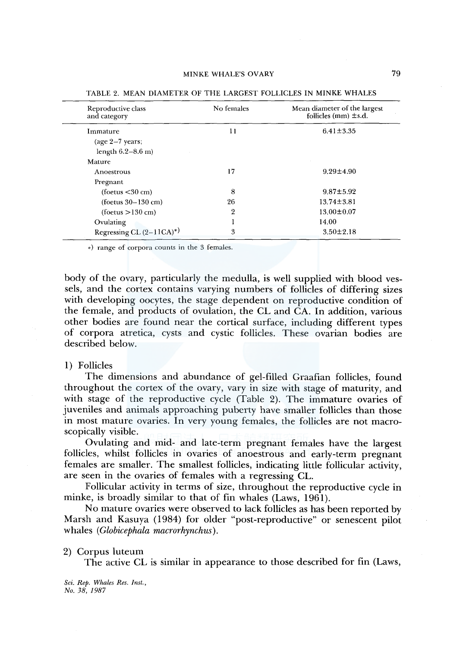| Reproductive class<br>and category | No females            | Mean diameter of the largest<br>follicles (mm) $\pm$ s.d. |
|------------------------------------|-----------------------|-----------------------------------------------------------|
| Immature                           | $6.41 \pm 3.35$<br>11 |                                                           |
| (age $2-7$ years;                  |                       |                                                           |
| length $6.2 - 8.6$ m)              |                       |                                                           |
| Mature                             |                       |                                                           |
| Anoestrous                         | 17                    | $9.29 \pm 4.90$                                           |
| Pregnant                           |                       |                                                           |
| (foetus < 30 cm)                   | 8                     | $9.87 \pm 5.92$                                           |
| $($ foetus 30-130 cm $)$           | 26                    | $13.74 \pm 3.81$                                          |
| (foetus > 130 cm)                  | 2                     | $13.00 \pm 0.07$                                          |
| Ovulating                          |                       | 14.00                                                     |
| Regressing CL $(2-11CA)^{*}$       | 3                     | $3.50 \pm 2.18$                                           |

TABLE 2. MEAN DIAMETER OF THE LARGEST FOLLICLES IN MINKE WHALES

•) range of corpora counts in the 3 females.

body of the ovary, particularly the medulla, is well supplied with blood vessels, and the cortex contains varying numbers of follicles of differing sizes with developing oocytes, the stage dependent on reproductive condition of the female, and products of ovulation, the CL and CA. In addition, various other bodies are found near the cortical surface, including different types of corpora atretica, cysts and cystic follicles. These ovarian bodies are described below.

### 1) Follicles

The dimensions and abundance of gel-filled Graafian follicles, found throughout the cortex of the ovary, vary in size with stage of maturity, and with stage of the reproductive cycle (Table 2). The immature ovaries of juveniles and animals approaching puberty have smaller follicles than those in most mature ovaries. In very young females, the follicles are not macroscopically visible.

Ovulating and mid- and late-term pregnant females have the largest follicles, whilst follicles in ovaries of anoestrous and early-term pregnant females are smaller. The smallest follicles, indicating little follicular activity, are seen in the ovaries of females with a regressing CL.

Follicular activity in terms of size, throughout the reproductive cycle in minke, is broadly similar to that of fin whales (Laws, 1961).

No mature ovaries were observed to lack follicles as has been reported by Marsh and Kasuya (1984) for older "post-reproductive" or senescent pilot whales ( *Globicephala macrorhynchus).* 

2) Corpus luteum

The active CL is similar in appearance to those described for fin (Laws,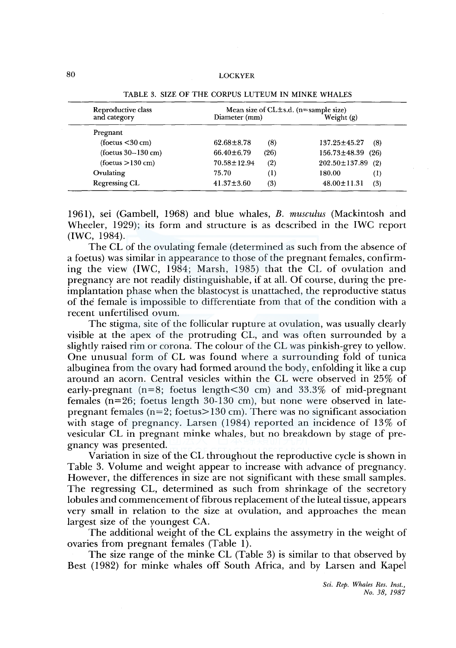| Reproductive class       | Mean size of $CL \pm s.d.$ (n=sample size) |                            |  |
|--------------------------|--------------------------------------------|----------------------------|--|
| and category             | Diameter (mm)                              | Weight (g)                 |  |
| Pregnant                 |                                            |                            |  |
| $($ foetus $<$ 30 cm $)$ | $62.68 \pm 8.78$<br>(8)                    | 137.25±45.27<br>(8)        |  |
| (foetus $30-130$ cm)     | (26)<br>$66.40 \pm 6.79$                   | 156.73±48.39<br>(26)       |  |
| (foetus > 130 cm)        | (2)<br>$70.58 \pm 12.94$                   | $202.50 \pm 137.89$<br>(2) |  |
| Ovulating                | 75.70<br>$\left(1\right)$                  | 180.00<br>$^{(1)}$         |  |
| <b>Regressing CL</b>     | $41.37 \pm 3.60$<br>(3)                    | $48.00 \pm 11.31$<br>(3)   |  |

TABLE 3. SIZE OF THE CORPUS LUTEUM IN MINKE WHALES

1961 ), sei (Gambell, 1968) and blue whales, *B. musculus* (Mackintosh and Wheeler, 1929); its form and structure is as described in the IWC report (IWC, 1984).

The CL of the ovulating female (determined as such from the absence of a foetus) was similar in appearance to those of the pregnant females, confirming the view (IWC, 1984; Marsh, 1985) that the CL of ovulation and pregnancy are not readily distinguishable, if at all. Of course, during the preimplantation phase when the blastocyst is unattached, the reproductive status of the female is impossible to differentiate from that of the condition with a recent unfertilised ovum.

The stigma, site of the follicular rupture at ovulation, was usually clearly visible at the apex of the protruding CL, and was often surrounded by a slightly raised rim or corona. The colour of the CL was pinkish-grey to yellow. One unusual form of CL was found where a surrounding fold of tunica albuginea from the ovary had formed around the body, enfolding it like a cup around an acorn. Central vesicles within the CL were observed in 25% of early-pregnant ( $n=8$ ; foetus length $\lt 30$  cm) and  $33.3\%$  of mid-pregnant females (n=26; foetus length 30-130 cm), but none were observed in latepregnant females ( $n=2$ ; foetus $> 130$  cm). There was no significant association with stage of pregnancy. Larsen (1984) reported an incidence of 13% of vesicular CL in pregnant minke whales, but no breakdown by stage of pregnancy was presented.

Variation in size of the CL throughout the reproductive cycle is shown in Table 3. Volume and weight appear to increase with advance of pregnancy. However, the differences in size are not significant with these small samples. The regressing CL, determined as such from shrinkage of the secretory lobules and commencement of fibrous replacement of the luteal tissue, appears very small in relation to the size at ovulation, and approaches the mean largest size of the youngest CA.

The additional weight of the CL explains the assymetry in the weight of ovaries from pregnant females (Table 1).

The size range of the minke CL (Table 3) is similar to that observed by Best ( 1982) for minke whales off South Africa, and by Larsen and Kapel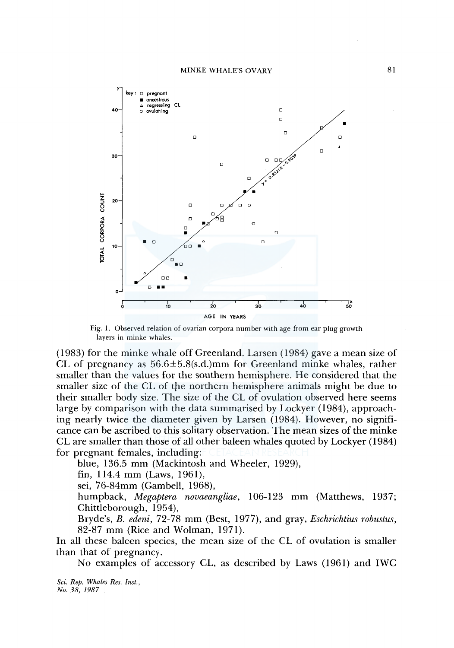

Fig. I. Observed relation of ovarian corpora number with age from ear plug growth layers in minke whales.

(1983) for the minke whale off Greenland. Larsen (1984) gave a mean size of CL of pregnancy as  $56.6 \pm 5.8$ (s.d.)mm for Greenland minke whales, rather smaller than the values for the southern hemisphere. He considered that the smaller size of the CL of the northern hemisphere animals might be due to their smaller body size. The size of the CL of ovulation observed here seems large by comparison with the data summarised by Lockyer (1984), approaching nearly twice the diameter given by Larsen (1984). However, no significance can be ascribed to this solitary observation. The mean sizes of the minke CL are smaller than those of all other baleen whales quoted by Lockyer ( 1984) for pregnant females, including:

blue, 136.5 mm (Mackintosh and Wheeler, 1929),

fin, 114.4 mm (Laws, 1961),

sei, 76-84mm (Gambell, 1968),

humpback, *Megaptera novaeangliae,* 106-123 mm (Matthews, 1937; Chittleborough, 1954),

Bryde's, *B. edeni,* 72-78 mm (Best, 1977), and gray, *Eschrichtius robustus,*  82-87 mm (Rice and Wolman, 1971).

In all these baleen species, the mean size of the CL of ovulation is smaller than that of pregnancy.

No examples of accessory CL, as described by Laws (1961) and IWC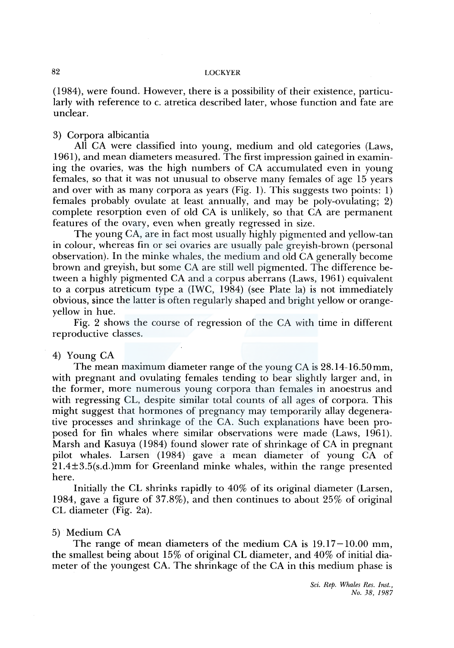(1984), were found. However, there is a possibility of their existence, particularly with reference to c. atretica described later, whose function and fate are unclear.

## 3) Corpora albicantia

All CA were classified into young, medium and old categories (Laws, 1961), and mean diameters measured. The first impression gained in examining the ovaries, was the high numbers of CA accumulated even in young females, so that it was not unusual to observe many females of age 15 years and over with as many corpora as years (Fig. 1). This suggests two points: 1) females probably ovulate at least annually, and may be poly-ovulating; 2) complete resorption even of old CA is unlikely, so that CA are permanent features of the ovary, even when greatly regressed in size.

The young CA, are in fact most usually highly pigmented and yellow-tan in colour, whereas fin or sei ovaries are usually pale greyish-brown (personal observation). In the minke whales, the medium and old CA generally become brown and greyish, but some CA are still well pigmented. The difference between a highly pigmented CA and a corpus aberrans (Laws, 1961) equivalent to a corpus atreticum type a (IWC, 1984) (see Plate la) is not immediately obvious, since the latter is often regularly shaped and bright yellow or orangeyellow in hue.

Fig. 2 shows the course of regression of the CA with time in different reproductive classes.

## 4) Young CA

The mean maximum diameter range of the young CA is 28.14-16.50mm, with pregnant and ovulating females tending to bear slightly larger and, in the former, more numerous young corpora than females in anoestrus and with regressing CL, despite similar total counts of all ages of corpora. This might suggest that hormones of pregnancy may temporarily allay degenerative processes and shrinkage of the CA. Such explanations have been proposed for fin whales where similar observations were made (Laws, 1961). Marsh and Kasuya (1984) found slower rate of shrinkage of CA in pregnant pilot whales. Larsen (1984) gave a mean diameter of young CA of 21.4±3.5(s.d.)mm for Greenland minke whales, within the range presented here.

Initially the CL shrinks rapidly to 40% of its original diameter (Larsen, 1984, gave a figure of 37.8%), and then continues to about 25% of original CL diameter (Fig. 2a).

## 5) Medium CA

The range of mean diameters of the medium CA is  $19.17-10.00$  mm, the smallest being about 15% of original CL diameter, and 40% of initial diameter of the youngest CA. The shrinkage of the CA in this medium phase is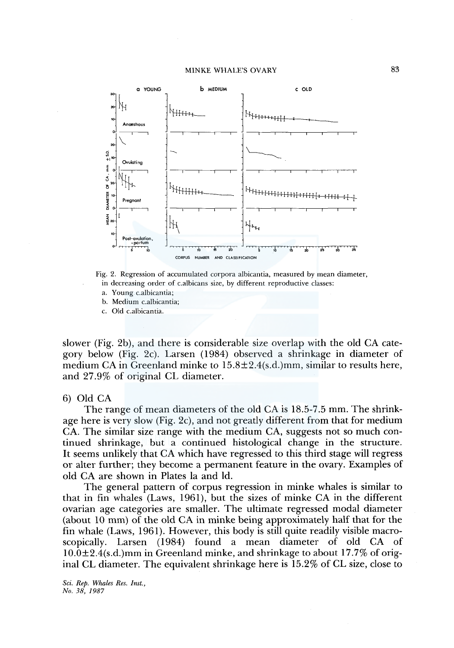



- a. Young c.albicantia;
- b. Medium c.albicantia;
- c. Old c.albicantia.

slower (Fig. 2b), and there is considerable size overlap with the old CA category below (Fig. 2c). Larsen (1984) observed a shrinkage in diameter of medium CA in Greenland minke to 15.8±2.4(s.d.)mm, similar to results here, and 27.9% of original CL diameter.

#### 6) Old CA

The range of mean diameters of the old CA is 18.5-7.5 mm. The shrinkage here is very slow (Fig. 2c), and not greatly different from that for medium CA. The similar size range with the medium CA, suggests not so much continued shrinkage, but a continued histological change in the structure. It seems unlikely that CA which have regressed to this third stage will regress or alter further; they become a permanent feature in the ovary. Examples of old CA are shown in Plates la and ld.

The general pattern of corpus regression in minke whales is similar to that in fin whales (Laws, 1961), but the sizes of minke CA in the different ovarian age categories are smaller. The ultimate regressed modal diameter (about 10 mm) of the old CA in minke being approximately half that for the fin whale (Laws, 1961). However, this body is still quite readily visible macroscopically. Larsen (1984) found a mean diameter of old CA  $10.0\pm2.4$ (s.d.)mm in Greenland minke, and shrinkage to about 17.7% of original CL diameter. The equivalent shrinkage here is 15.2% of CL size, close to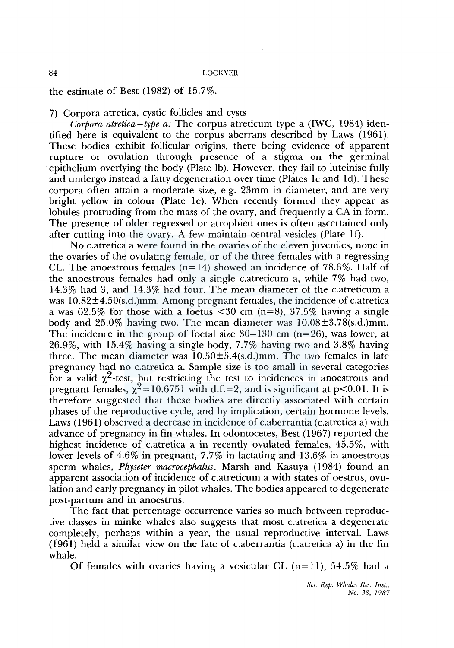the estimate of Best (1982) of 15.7%.

7) Corpora atretica, cystic follicles and cysts

*Corpora atretica-type a:* The corpus atreticum type a (IWC, 1984) identified here is equivalent to the corpus aberrans described by Laws (1961). These bodies exhibit follicular origins, there being evidence of apparent rupture or ovulation through presence of a stigma on the germinal epithelium overlying the body (Plate lb). However, they fail to luteinise fully and undergo instead a fatty degeneration over time (Plates 1c and 1d). These corpora often attain a moderate size, e.g. 23mm in diameter, and are very bright yellow in colour (Plate le). When recently formed they appear as lobules protruding from the mass of the ovary, and frequently a CA in form. The presence of older regressed or atrophied ones is often ascertained only after cutting into the ovary. A few maintain central vesicles (Plate lf).

No c.atretica a were found in the ovaries of the eleven juveniles, none in the ovaries of the ovulating female, or of the three females with a regressing CL. The anoestrous females  $(n=14)$  showed an incidence of 78.6%. Half of the anoestrous females had only a single c.atreticum a, while 7% had two, 14.3% had 3, and 14.3% had four. The mean diameter of the c.atreticum a was  $10.82\pm4.50$ (s.d.)mm. Among pregnant females, the incidence of c.atretica a was 62.5% for those with a foetus  $\leq 30$  cm (n=8), 37.5% having a single body and 25.0% having two. The mean diameter was 10.08±3.78(s.d.)mm. The incidence in the group of foetal size  $30-130$  cm (n=26), was lower, at 26.9%, with 15.4% having a single body, 7.7% having two and 3.8% having three. The mean diameter was  $10.50 \pm 5.4$ (s.d.)mm. The two females in late pregnancy had no c.atretica a. Sample size is too small in several categories for a valid  $\chi^2$ -test, but restricting the test to incidences in anoestrous and pregnant females,  $\chi^2$  = 10.6751 with d.f. = 2, and is significant at p<0.01. It is therefore suggested that these bodies are directly associated with certain phases of the reproductive cycle, and by implication, certain hormone levels. Laws (1961) observed a decrease in incidence of c.aberrantia (c.atretica a) with advance of pregnancy in fin whales. In odontocetes, Best ( 1967) reported the highest incidence of c.atretica a in recently ovulated females, 45.5%, with lower levels of 4.6% in pregnant, 7.7% in lactating and 13.6% in anoestrous sperm whales, *Physeter macrocephalus.* Marsh and Kasuya (1984) found an apparent association of incidence of c.atreticum a with states of oestrus, ovulation and early pregnancy in pilot whales. The bodies appeared to degenerate post-partum and in anoestrus.

The fact that percentage occurrence varies so much between reproductive classes in minke whales also suggests that most c.atretica a degenerate completely, perhaps within a year, the usual reproductive interval. Laws ( 1961) held a similar view on the fate of c.aberrantia ( c.atretica a) in the fin whale.

Of females with ovaries having a vesicular CL  $(n=11)$ , 54.5% had a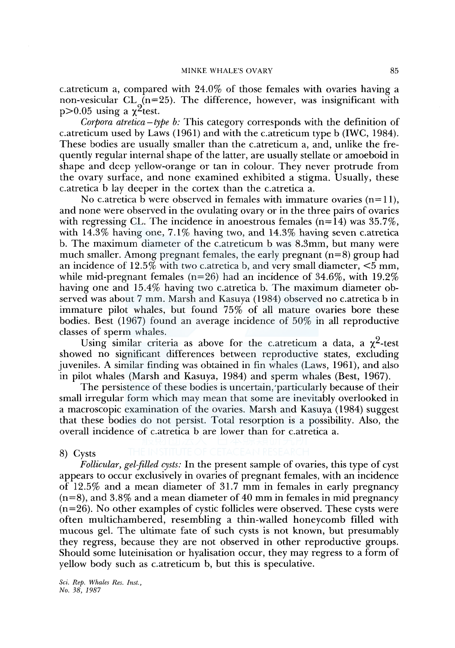c.atreticum a, compared with 24.0% of those females with ovaries having a non-vesicular CL  $(n=25)$ . The difference, however, was insignificant with  $p > 0.05$  using a  $\chi^2$ test.

*Corpora atretica-type b:* This category corresponds with the definition of c.atreticum used by Laws (1961) and with the c.atreticum type b (IWC, 1984). These bodies are usually smaller than the c.atreticum a, and, unlike the frequently regular internal shape of the latter, are usually stellate or amoeboid in shape and deep yellow-orange or tan in colour. They never protrude from the ovary surface, and none examined exhibited a stigma. Usually, these c.atretica b lay deeper in the cortex than the c.atretica a.

No c.atretica b were observed in females with immature ovaries  $(n=1)$ , and none were observed in the ovulating ovary or in the three pairs of ovaries with regressing CL. The incidence in anoestrous females  $(n=14)$  was  $35.7\%$ , with  $14.3\%$  having one,  $7.1\%$  having two, and  $14.3\%$  having seven c.atretica b. The maximum diameter of the c.atreticum b was 8.3mm, but many were much smaller. Among pregnant females, the early pregnant  $(n=8)$  group had an incidence of  $12.5\%$  with two c.atretica b, and very small diameter,  $\leq 5$  mm, while mid-pregnant females ( $n=26$ ) had an incidence of 34.6%, with 19.2% having one and 15.4% having two c.atretica b. The maximum diameter observed was about 7 mm. Marsh and Kasuya (1984) observed no c.atretica bin immature pilot whales, but found 75% of all mature ovaries bore these bodies. Best ( 1967) found an average incidence of 50% in all reproductive classes of sperm whales.

Using similar criteria as above for the c.atreticum a data, a  $\chi^2$ -test showed no significant differences between reproductive states, excluding juveniles. A similar finding was obtained in fin whales (Laws, 1961), and also in pilot whales (Marsh and Kasuya, 1984) and sperm whales (Best, 1967).

The persistence of these bodies is uncertain, 'particularly because of their small irregular form which may mean that some are inevitably overlooked in a macroscopic examination of the ovaries. Marsh and Kasuya (1984) suggest that these bodies do not persist. Total resorption is a possibility. Also, the overall incidence of c.atretica b are lower than for c.atretica a.

#### 8) Cysts

*Follicular, gel-filled cysts:* In the present sample of ovaries, this type of cyst appears to occur exclusively in ovaries of pregnant females, with an incidence of 12.5% and a mean diameter of 31.7 mm in females in early pregnancy  $(n=8)$ , and 3.8% and a mean diameter of 40 mm in females in mid pregnancy (n=26). No other examples of cystic follicles were observed. These cysts were often multichambered, resembling a thin-walled honeycomb filled with mucous gel. The ultimate fate of such cysts is not known, but presumably they regress, because they are not observed in other reproductive groups. Should some luteinisation or hyalisation occur, they may regress to a form of yellow body such as c.atreticum b, but this is speculative.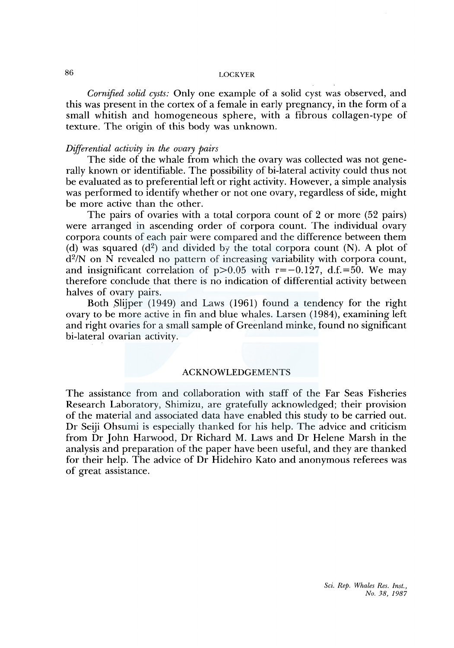*Cornified solid cysts:* Only one example of a solid cyst was observed, and this was present in the cortex of a female in early pregnancy, in the form of a small whitish and homogeneous sphere, with a fibrous collagen-type of texture. The origin of this body was unknown.

#### *Differential activity in the ovary pairs*

The side of the whale from which the ovary was collected was not generally known or identifiable. The possibility of bi-lateral activity could thus not be evaluated as to preferential left or right activity. However, a simple analysis was performed to identify whether or not one ovary, regardless of side, might be more active than the other.

The pairs of ovaries with a total corpora count of 2 or more (52 pairs) were arranged in ascending order of corpora count. The individual ovary corpora counts of each pair were compared and the difference between them (d) was squared  $(d^2)$  and divided by the total corpora count (N). A plot of  $d^2/N$  on N revealed no pattern of increasing variability with corpora count, and insignificant correlation of  $p>0.05$  with  $r=-0.127$ , d.f.=50. We may therefore conclude that there is no indication of differential activity between halves of ovary pairs.

Both Slijper (1949) and Laws (1961) found a tendency for the right ovary to be more active in fin and blue whales. Larsen (1984), examining left and right ovaries for a small sample of Greenland minke, found no significant bi-lateral ovarian activity.

## ACKNOWLEDGEMENTS

The assistance from and collaboration with staff of the Far Seas Fisheries Research Laboratory, Shimizu, are gratefully acknowledged; their provision of the material and associated data have enabled this study to be carried out. Dr Seiji Ohsumi is especially thanked for his help. The advice and criticism from Dr John Harwood, Dr Richard M. Laws and Dr Helene Marsh in the analysis and preparation of the paper have been useful, and they are thanked for their help. The advice of Dr Hidehiro Kato and anonymous referees was of great assistance.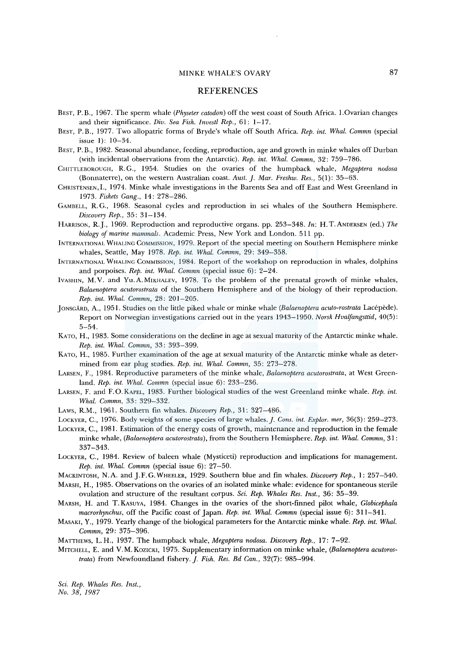#### **REFERENCES**

- BEST, P. B., 1967. The sperm whale *(Physeter catodon)* off the west coast of South Africa. I.Ovarian changes and their significance. *Div. Sea Fish. Invest/ Rep.,* 61: 1-17.
- BEST, P. B., 1977. Two allopatric forms of Bryde's whale off South Africa. *Rep. int. Whal. Commn* (special issue I): 10-34.
- BEST, P. B., 1982. Seasonal abundance, feeding, reproduction, age and growth in minke whales off Durban (with incidental observations from the Antarctic). *Rep. int. Whal. Commn,* 32: 759-786.
- CHITTLEBOROUGH, R. G., 1954. Studies on the ovaries of the humpback whale, *Megaptera nodosa*  (Bonnaterre), on the western Australian coast. *Aust.]. Mar. Freshw. Res.,* 5(1): 35-63.
- CHRISTENSEN, I., 1974. Minke whale investigations in the Barents Sea and off East and West Greenland in 1973. *Fiskets Gang.,* 14: 278-286.
- GAMBELL, R.G., 1968. Seasonal cycles and reproduction in sei whales of the Southern Hemisphere. *Discovery Rep.,* 35: 31-134.
- HARRISON, R.J., 1969. Reproduction and reproductive organs. pp. 253-348. *In:* H.T.ANDERSEN (ed.) *The biology of marine mammals.* Academic Press, New York and London. 511 pp.
- INTERNATIONAL WHALING COMMISSION, 1979. Report of the special meeting on Southern Hemisphere minke whales, Seattle, May 1978. *Rep. int. Whal. Commn,* 29: 349-358.
- INTERNATIONAL WHALING COMMISSION, 1984. Report of the workshop on reproduction in whales, dolphins and porpoises. *Rep. int. Whal. Commn* (special issue 6): 2-24.
- IVASHIN, M.V. and Yu.A.MIKHALEV, 1978. To the problem of the prenatal growth of minke whales, *Balaenoptera acutorostrata* of the Southern Hemisphere and of the biology of their reproduction. *Rep. int. Whal. Commn,* 28: 201-205.
- ]ONSGARD, A., 1951. Studies on the little piked whale or minke whale *(Balaenoptera acuto-rostrata* Lacepede). Report on Norwegian investigations carried out in the years 1943-1950. *Norsk Hvaifangsttid,* 40(5): 5-54.
- KATO, H., 1983. Some considerations on the decline in age at sexual maturity of the Antarctic minke whale. *Rep. int. Whal. Commn,* 33: 393-399.
- KATO, H., 1985. Further examination of the age at sexual maturity of the Antarctic minke whale as determined from ear plug studies. *Rep. int. Whal. Commn,* 35: 273-278.
- LARSEN, F., 1984. Reproductive parameters of the minke whale, *Balaenoptera acutorostrata,* at West Greenland. *Rep. int. Whal. Commn* (special issue 6): 233-236.
- LARSEN, F. and F.O. KAPEL, 1983. Further biological studies of the west Greenland minke whale. *Rep. int. Whal. Commn,* 33: 329-332.
- LAWS, R.M., 1961. Southern fin whales. *Discovery Rep.,* 31: 327-486.
- LOCKYER, C., 1976. Body weights of some species of large whales.]. *Cons. int. Explor. mer,* 36(3): 259-273.
- LOCKYER, C., 1981. Estimation of the energy costs of growth, maintenance and reproduction in the female minke whale, *(Balaenoptera acutorostrata),* from the Southern Hemisphere. *Rep. int. Whal. Commn,* 31: 337-343.
- LOCKYER, C., 1984. Review of baleen whale (Mysticeti) reproduction and implications for management. *Rep. int. Whal. Commn* (special issue 6): 27-50.
- MACKINTOSH, N.A. and J. F. G. WHEELER, 1929. Southern blue and fin whales. *Discovery Rep.,* I: 257-540.
- MARSH, H., 1985. Observations on the ovaries of an isolated minke whale: evidence for spontaneous sterile ovulation and structure of the resultant corpus. *Sci. Rep. Whales Res. Inst.,* 36: 35-39.
- MARSH, H. and T.KASUYA, 1984. Changes in the ovaries of the short-finned pilot whale, *Globicephala macrorhynchus,* off the Pacific coast of Japan. *Rep. int. Whal. Commn* (special issue 6): 311-341.
- MASAKI, Y., 1979. Yearly change of the biological parameters for the Antarctic minke whale. *Rep. int. Whal. Commn,* 29: 375-396.
- MATTHEWS, L.H., 1937. The humpback whale, *Megaptera nodosa. Discovery Rep.,* 17: 7-92.
- MITCHELL, E. and V.M. KOZICKI, 1975. Supplementary information on minke whale, *(Balaenoptera acutorostrata)* from Newfoundland fishery.]. *Fish. Res. Bd Can.,* 32(7): 985-994.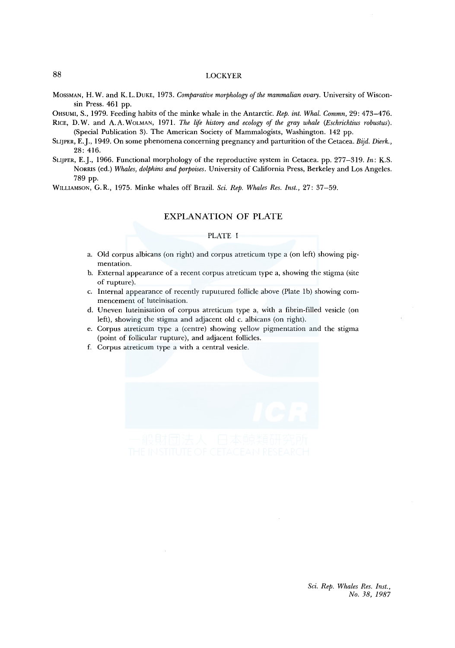MossMAN, H. W. and K. L. DuKE, 1973. *Comparative morphology of the mammalian ovary.* University of Wisconsin Press. 461 pp.

OttsUMI, S., 1979. Feeding habits of the minke whale in the Antarctic. *Rep. int. Whal. Commn,* 29: 473-476.

- RICE, D.W. and A.A. WOLMAN, 1971. *The life history and ecology of the gray whale (Eschrichtius robustus)*. (Special Publication 3). The American Society of Mammalogists, Washington. 142 pp.
- SLIJPER, E.J., 1949. On some phenomena concerning pregnancy and parturition of the Cetacea. *Bijd. Dierk.,*  28: 416.
- SLIJPER, E.J., 1966. Functional morphology of the reproductive system in Cetacea. pp. 277-319. *In:* K.S. NORRIS (ed.) *Whales, dolphins and porpoises.* University of California Press, Berkeley and Los Angeles. 789 pp.

WILLIAMSON, G.R., 1975. Minke whales off Brazil. *Sci. Rep. Whales Res. Inst.,* 27: 37-59.

## EXPLANATION OF **PLATE**

#### PLATE I

- a. Old corpus albicans (on right) and corpus atreticum type a (on left) showing pigmentation.
- b. External appearance of a recent corpus atreticum type a, showing the stigma (site of rupture).
- c. Internal appearance of recently ruputured follicle above (Plate lb) showing commencement of luteinisation.
- d. Uneven luteinisation of corpus atreticum type a, with a fibrin-filled vesicle (on left), showing the stigma and adjacent old c. albicans (on right).
- e. Corpus atreticum type a (centre) showing yellow pigmentation and the stigma (point of follicular rupture), and adjacent follicles.
- f. Corpus atreticum type a with a central vesicle.